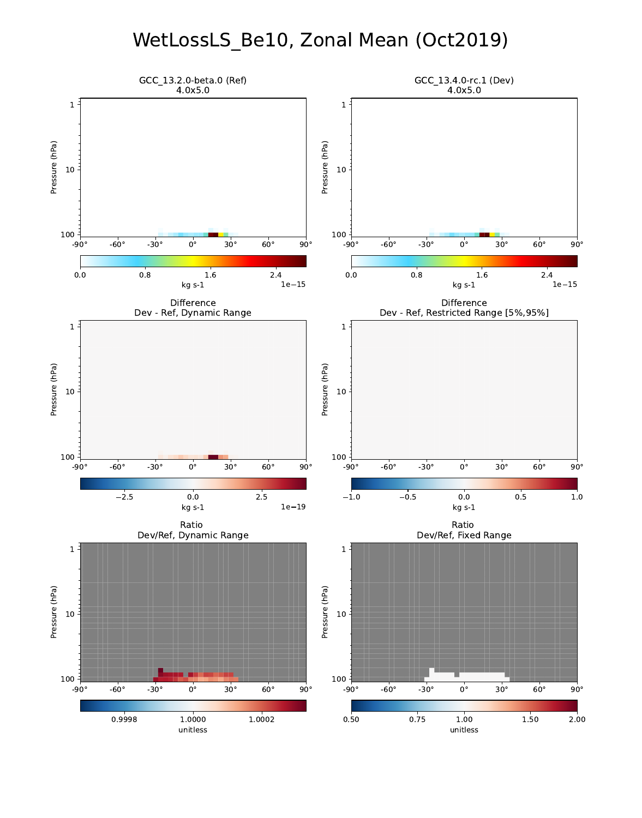# WetLossLS\_Be10, Zonal Mean (Oct2019)

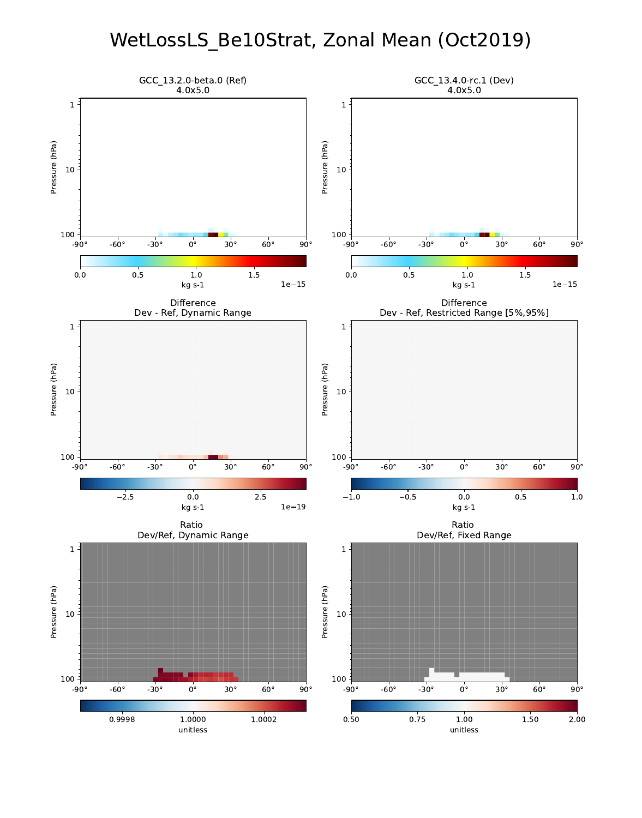# WetLossLS\_Be10Strat, Zonal Mean (Oct2019)

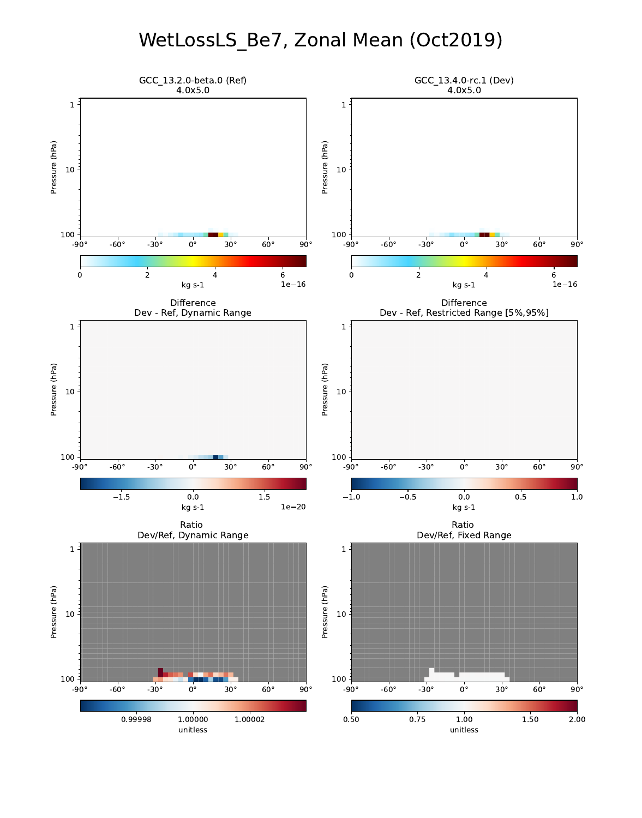# WetLossLS\_Be7, Zonal Mean (Oct2019)

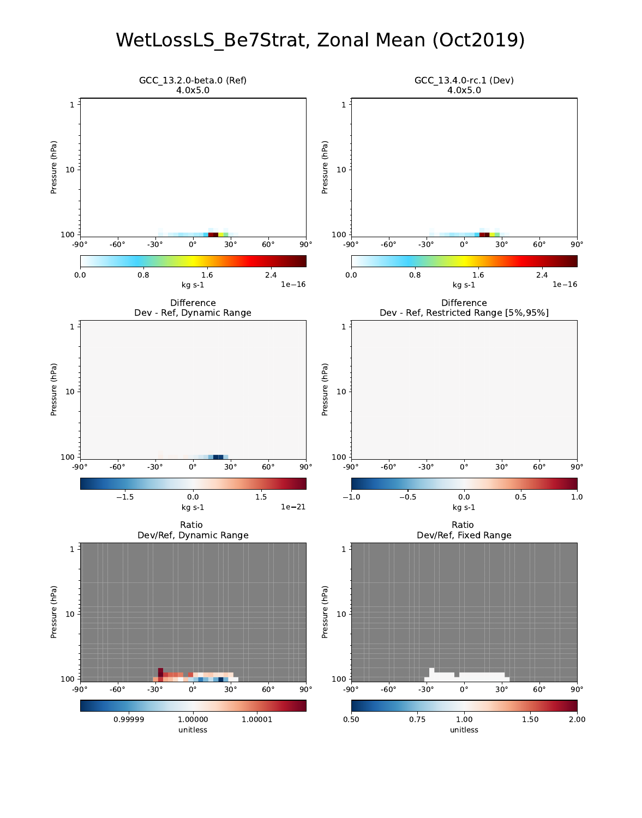### WetLossLS\_Be7Strat, Zonal Mean (Oct2019)

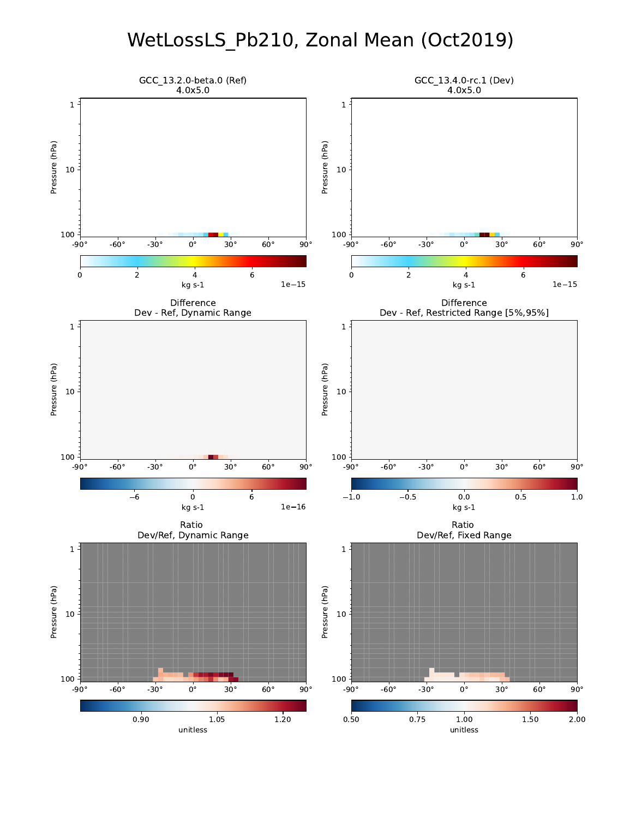# WetLossLS\_Pb210, Zonal Mean (Oct2019)